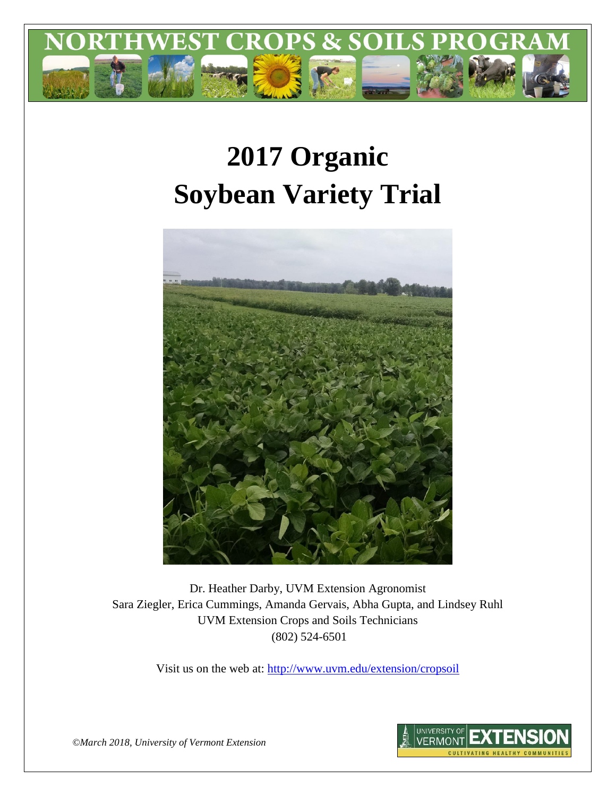

# **2017 Organic Soybean Variety Trial**



Dr. Heather Darby, UVM Extension Agronomist Sara Ziegler, Erica Cummings, Amanda Gervais, Abha Gupta, and Lindsey Ruhl UVM Extension Crops and Soils Technicians (802) 524-6501

Visit us on the web at: <http://www.uvm.edu/extension/cropsoil>



*©March 2018, University of Vermont Extension*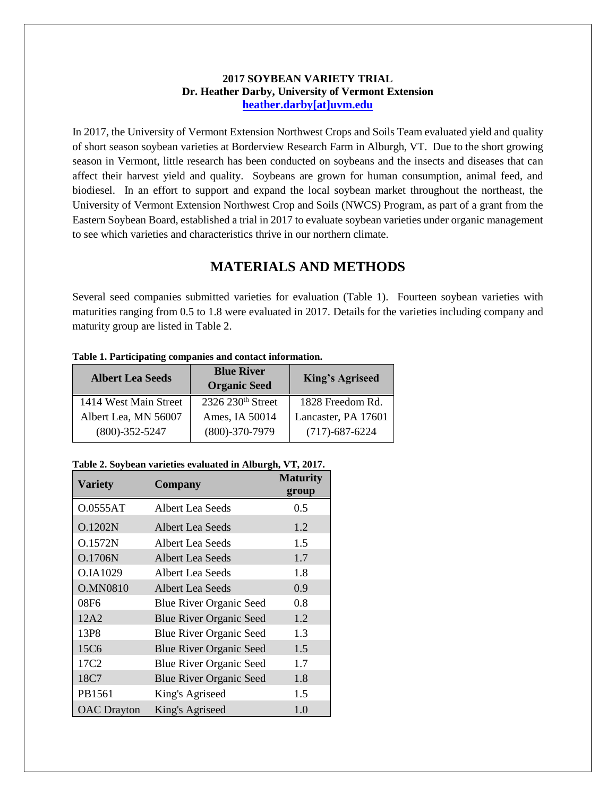#### **2017 SOYBEAN VARIETY TRIAL Dr. Heather Darby, University of Vermont Extension [heather.darby\[at\]uvm.edu](mailto:heather.darby@uvm.edu?subject=2012%20Short%20Season%20Corn%20Report)**

In 2017, the University of Vermont Extension Northwest Crops and Soils Team evaluated yield and quality of short season soybean varieties at Borderview Research Farm in Alburgh, VT. Due to the short growing season in Vermont, little research has been conducted on soybeans and the insects and diseases that can affect their harvest yield and quality. Soybeans are grown for human consumption, animal feed, and biodiesel. In an effort to support and expand the local soybean market throughout the northeast, the University of Vermont Extension Northwest Crop and Soils (NWCS) Program, as part of a grant from the Eastern Soybean Board, established a trial in 2017 to evaluate soybean varieties under organic management to see which varieties and characteristics thrive in our northern climate.

## **MATERIALS AND METHODS**

Several seed companies submitted varieties for evaluation (Table 1). Fourteen soybean varieties with maturities ranging from 0.5 to 1.8 were evaluated in 2017. Details for the varieties including company and maturity group are listed in Table 2.

| <b>Albert Lea Seeds</b> | <b>Blue River</b><br><b>Organic Seed</b> | <b>King's Agriseed</b> |  |  |
|-------------------------|------------------------------------------|------------------------|--|--|
| 1414 West Main Street   | 2326 230 <sup>th</sup> Street            | 1828 Freedom Rd.       |  |  |
| Albert Lea, MN 56007    | Ames, IA 50014                           | Lancaster, PA 17601    |  |  |
| $(800) - 352 - 5247$    | $(800) - 370 - 7979$                     | $(717) - 687 - 6224$   |  |  |

#### **Table 1. Participating companies and contact information.**

#### **Table 2. Soybean varieties evaluated in Alburgh, VT, 2017.**

| <b>Variety</b>     | Company                        | <b>Maturity</b><br>group |
|--------------------|--------------------------------|--------------------------|
| O.0555AT           | Albert Lea Seeds               | 0.5                      |
| O.1202N            | <b>Albert Lea Seeds</b>        | 1.2                      |
| <b>O.1572N</b>     | Albert Lea Seeds               | 1.5                      |
| O.1706N            | Albert Lea Seeds               | 1.7                      |
| O.IA1029           | Albert Lea Seeds               | 1.8                      |
| <b>O.MN0810</b>    | Albert Lea Seeds               | 0.9                      |
| 08F6               | <b>Blue River Organic Seed</b> | 0.8                      |
| 12A2               | <b>Blue River Organic Seed</b> | 1.2                      |
| 13P8               | <b>Blue River Organic Seed</b> | 1.3                      |
| 15C6               | <b>Blue River Organic Seed</b> | 1.5                      |
| 17C <sub>2</sub>   | <b>Blue River Organic Seed</b> | 1.7                      |
| 18C7               | <b>Blue River Organic Seed</b> | 1.8                      |
| PB1561             | King's Agriseed                | 1.5                      |
| <b>OAC</b> Drayton | King's Agriseed                | 1.0                      |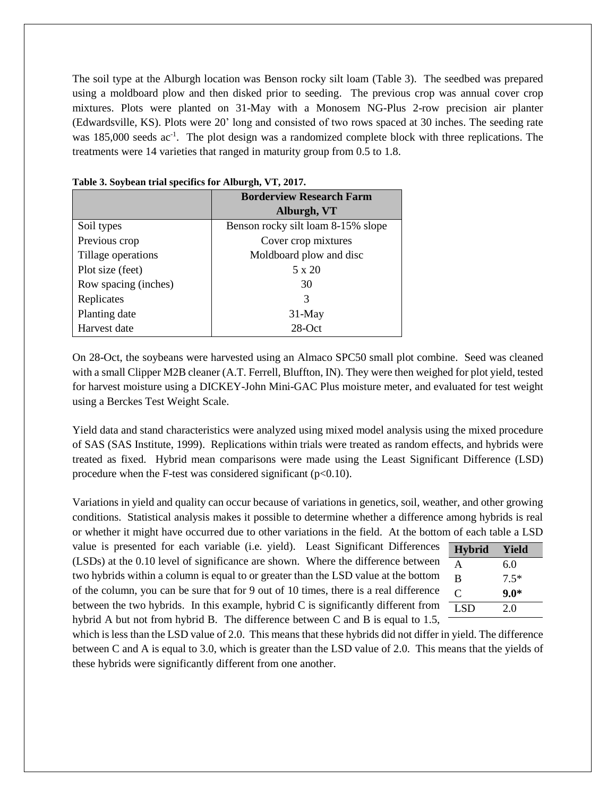The soil type at the Alburgh location was Benson rocky silt loam (Table 3). The seedbed was prepared using a moldboard plow and then disked prior to seeding. The previous crop was annual cover crop mixtures. Plots were planted on 31-May with a Monosem NG-Plus 2-row precision air planter (Edwardsville, KS). Plots were 20' long and consisted of two rows spaced at 30 inches. The seeding rate was 185,000 seeds ac<sup>-1</sup>. The plot design was a randomized complete block with three replications. The treatments were 14 varieties that ranged in maturity group from 0.5 to 1.8.

|                      | <b>Borderview Research Farm</b>    |
|----------------------|------------------------------------|
|                      | Alburgh, VT                        |
| Soil types           | Benson rocky silt loam 8-15% slope |
| Previous crop        | Cover crop mixtures                |
| Tillage operations   | Moldboard plow and disc            |
| Plot size (feet)     | $5 \times 20$                      |
| Row spacing (inches) | 30                                 |
| Replicates           | 3                                  |
| Planting date        | 31-May                             |
| Harvest date         | $28-Oct$                           |

| Table 3. Soybean trial specifics for Alburgh, VT, 2017. |  |  |
|---------------------------------------------------------|--|--|
|                                                         |  |  |

On 28-Oct, the soybeans were harvested using an Almaco SPC50 small plot combine. Seed was cleaned with a small Clipper M2B cleaner (A.T. Ferrell, Bluffton, IN). They were then weighed for plot yield, tested for harvest moisture using a DICKEY-John Mini-GAC Plus moisture meter, and evaluated for test weight using a Berckes Test Weight Scale.

Yield data and stand characteristics were analyzed using mixed model analysis using the mixed procedure of SAS (SAS Institute, 1999). Replications within trials were treated as random effects, and hybrids were treated as fixed. Hybrid mean comparisons were made using the Least Significant Difference (LSD) procedure when the F-test was considered significant  $(p<0.10)$ .

Variations in yield and quality can occur because of variations in genetics, soil, weather, and other growing conditions. Statistical analysis makes it possible to determine whether a difference among hybrids is real or whether it might have occurred due to other variations in the field. At the bottom of each table a LSD

value is presented for each variable (i.e. yield). Least Significant Differences (LSDs) at the 0.10 level of significance are shown. Where the difference between two hybrids within a column is equal to or greater than the LSD value at the bottom of the column, you can be sure that for 9 out of 10 times, there is a real difference between the two hybrids. In this example, hybrid C is significantly different from hybrid A but not from hybrid B. The difference between C and B is equal to 1.5,

| <b>Hybrid</b> | Yield  |
|---------------|--------|
| A             | 6.0    |
| B             | $7.5*$ |
| C             | $9.0*$ |
| LSD           | 20     |
|               |        |

which is less than the LSD value of 2.0. This means that these hybrids did not differ in yield. The difference between C and A is equal to 3.0, which is greater than the LSD value of 2.0. This means that the yields of these hybrids were significantly different from one another.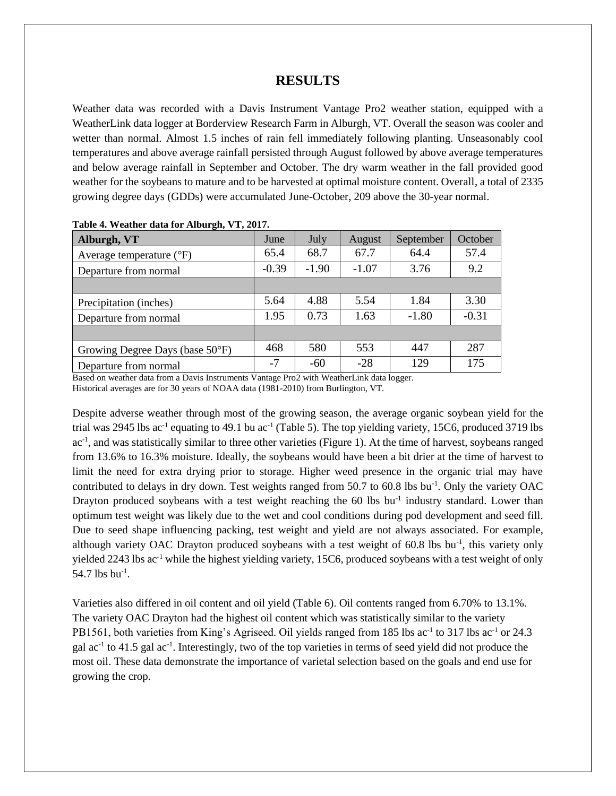## **RESULTS**

Weather data was recorded with a Davis Instrument Vantage Pro2 weather station, equipped with a WeatherLink data logger at Borderview Research Farm in Alburgh, VT. Overall the season was cooler and wetter than normal. Almost 1.5 inches of rain fell immediately following planting. Unseasonably cool temperatures and above average rainfall persisted through August followed by above average temperatures and below average rainfall in September and October. The dry warm weather in the fall provided good weather for the soybeans to mature and to be harvested at optimal moisture content. Overall, a total of 2335 growing degree days (GDDs) were accumulated June-October, 209 above the 30-year normal.

| Alburgh, VT                       | June    | July    | August  | September | October |
|-----------------------------------|---------|---------|---------|-----------|---------|
| Average temperature $(^{\circ}F)$ | 65.4    | 68.7    | 67.7    | 64.4      | 57.4    |
| Departure from normal             | $-0.39$ | $-1.90$ | $-1.07$ | 3.76      | 9.2     |
|                                   |         |         |         |           |         |
| Precipitation (inches)            | 5.64    | 4.88    | 5.54    | 1.84      | 3.30    |
| Departure from normal             | 1.95    | 0.73    | 1.63    | $-1.80$   | $-0.31$ |
|                                   |         |         |         |           |         |
| Growing Degree Days (base 50°F)   | 468     | 580     | 553     | 447       | 287     |
| Departure from normal             | $-7$    | $-60$   | $-28$   | 129       | 175     |

|  |  | Table 4. Weather data for Alburgh, VT, 2017. |
|--|--|----------------------------------------------|
|  |  |                                              |

Based on weather data from a Davis Instruments Vantage Pro2 with WeatherLink data logger. Historical averages are for 30 years of NOAA data (1981-2010) from Burlington, VT.

Despite adverse weather through most of the growing season, the average organic soybean yield for the trial was 2945 lbs ac<sup>-1</sup> equating to 49.1 bu ac<sup>-1</sup> (Table 5). The top yielding variety, 15C6, produced 3719 lbs ac<sup>-1</sup>, and was statistically similar to three other varieties (Figure 1). At the time of harvest, soybeans ranged from 13.6% to 16.3% moisture. Ideally, the soybeans would have been a bit drier at the time of harvest to limit the need for extra drying prior to storage. Higher weed presence in the organic trial may have contributed to delays in dry down. Test weights ranged from 50.7 to 60.8 lbs bu<sup>-1</sup>. Only the variety OAC Drayton produced soybeans with a test weight reaching the 60 lbs bu<sup>-1</sup> industry standard. Lower than optimum test weight was likely due to the wet and cool conditions during pod development and seed fill. Due to seed shape influencing packing, test weight and yield are not always associated. For example, although variety OAC Drayton produced soybeans with a test weight of 60.8 lbs bu<sup>-1</sup>, this variety only yielded 2243 lbs ac<sup>-1</sup> while the highest yielding variety, 15C6, produced soybeans with a test weight of only 54.7 lbs  $bu^{-1}$ .

Varieties also differed in oil content and oil yield (Table 6). Oil contents ranged from 6.70% to 13.1%. The variety OAC Drayton had the highest oil content which was statistically similar to the variety PB1561, both varieties from King's Agriseed. Oil yields ranged from 185 lbs ac<sup>-1</sup> to 317 lbs ac<sup>-1</sup> or 24.3 gal ac<sup>-1</sup> to 41.5 gal ac<sup>-1</sup>. Interestingly, two of the top varieties in terms of seed yield did not produce the most oil. These data demonstrate the importance of varietal selection based on the goals and end use for growing the crop.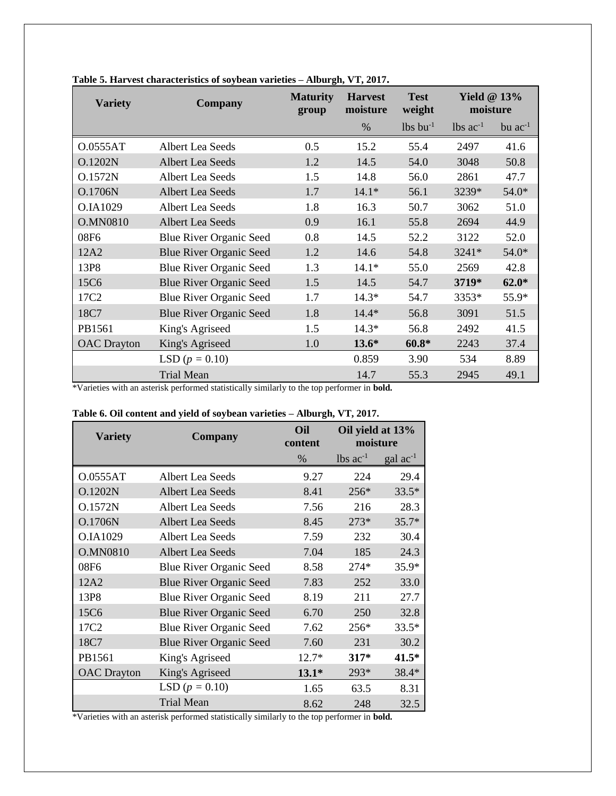| <b>Variety</b>     | <b>Company</b>                 | <b>Maturity</b><br>group | <b>Harvest</b><br>moisture | <b>Test</b><br>weight  | Yield $@13\%$<br>moisture |              |
|--------------------|--------------------------------|--------------------------|----------------------------|------------------------|---------------------------|--------------|
|                    |                                |                          | $\%$                       | $lbs$ bu <sup>-1</sup> | $1b$ s ac <sup>-1</sup>   | bu $ac^{-1}$ |
| O.0555AT           | Albert Lea Seeds               | 0.5                      | 15.2                       | 55.4                   | 2497                      | 41.6         |
| O.1202N            | Albert Lea Seeds               | 1.2                      | 14.5                       | 54.0                   | 3048                      | 50.8         |
| <b>O.1572N</b>     | Albert Lea Seeds               | 1.5                      | 14.8                       | 56.0                   | 2861                      | 47.7         |
| O.1706N            | <b>Albert Lea Seeds</b>        | 1.7                      | $14.1*$                    | 56.1                   | 3239*                     | 54.0*        |
| O.IA1029           | Albert Lea Seeds               | 1.8                      | 16.3                       | 50.7                   | 3062                      | 51.0         |
| <b>O.MN0810</b>    | <b>Albert Lea Seeds</b>        | 0.9                      | 16.1                       | 55.8                   | 2694                      | 44.9         |
| 08F6               | <b>Blue River Organic Seed</b> | 0.8                      | 14.5                       | 52.2                   | 3122                      | 52.0         |
| 12A2               | <b>Blue River Organic Seed</b> | 1.2                      | 14.6                       | 54.8                   | 3241*                     | 54.0*        |
| 13P8               | <b>Blue River Organic Seed</b> | 1.3                      | $14.1*$                    | 55.0                   | 2569                      | 42.8         |
| 15C6               | <b>Blue River Organic Seed</b> | 1.5                      | 14.5                       | 54.7                   | 3719*                     | $62.0*$      |
| 17C <sub>2</sub>   | <b>Blue River Organic Seed</b> | 1.7                      | $14.3*$                    | 54.7                   | 3353*                     | 55.9*        |
| 18C7               | <b>Blue River Organic Seed</b> | 1.8                      | $14.4*$                    | 56.8                   | 3091                      | 51.5         |
| PB1561             | King's Agriseed                | 1.5                      | $14.3*$                    | 56.8                   | 2492                      | 41.5         |
| <b>OAC</b> Drayton | King's Agriseed                | 1.0                      | $13.6*$                    | $60.8*$                | 2243                      | 37.4         |
|                    | LSD ( $p = 0.10$ )             |                          | 0.859                      | 3.90                   | 534                       | 8.89         |
|                    | <b>Trial Mean</b>              |                          | 14.7                       | 55.3                   | 2945                      | 49.1         |

| Table 5. Harvest characteristics of soybean varieties - Alburgh, VT, 2017. |  |  |  |  |  |  |  |
|----------------------------------------------------------------------------|--|--|--|--|--|--|--|
|----------------------------------------------------------------------------|--|--|--|--|--|--|--|

\*Varieties with an asterisk performed statistically similarly to the top performer in **bold.**

| <b>Variety</b>     | Company                        | Oil<br>content | Oil yield at 13%<br>moisture |                   |
|--------------------|--------------------------------|----------------|------------------------------|-------------------|
|                    |                                | $\%$           | lbs $ac^{-1}$                | $\rm gal~ac^{-1}$ |
| 0.0555AT           | Albert Lea Seeds               | 9.27           | 224                          | 29.4              |
| O.1202N            | Albert Lea Seeds               | 8.41           | $256*$                       | $33.5*$           |
| <b>O.1572N</b>     | Albert Lea Seeds               | 7.56           | 216                          | 28.3              |
| O.1706N            | <b>Albert Lea Seeds</b>        | 8.45           | $273*$                       | $35.7*$           |
| O.IA1029           | Albert Lea Seeds               | 7.59           | 232                          | 30.4              |
| <b>O.MN0810</b>    | Albert Lea Seeds               | 7.04           | 185                          | 24.3              |
| 08F6               | <b>Blue River Organic Seed</b> | 8.58           | $274*$                       | 35.9*             |
| 12A2               | <b>Blue River Organic Seed</b> | 7.83           | 252                          | 33.0              |
| 13P8               | <b>Blue River Organic Seed</b> | 8.19           | 211                          | 27.7              |
| 15C6               | <b>Blue River Organic Seed</b> | 6.70           | 250                          | 32.8              |
| 17C <sub>2</sub>   | <b>Blue River Organic Seed</b> | 7.62           | 256*                         | $33.5*$           |
| 18C7               | <b>Blue River Organic Seed</b> | 7.60           | 231                          | 30.2              |
| PB1561             | King's Agriseed                | $12.7*$        | $317*$                       | $41.5*$           |
| <b>OAC</b> Drayton | King's Agriseed                | $13.1*$        | 293*                         | 38.4*             |
|                    | LSD ( $p = 0.10$ )             | 1.65           | 63.5                         | 8.31              |
|                    | <b>Trial Mean</b>              | 8.62           | 248                          | 32.5              |

|  |  |  | Table 6. Oil content and yield of soybean varieties - Alburgh, VT, 2017. |  |
|--|--|--|--------------------------------------------------------------------------|--|
|  |  |  |                                                                          |  |

\*Varieties with an asterisk performed statistically similarly to the top performer in **bold.**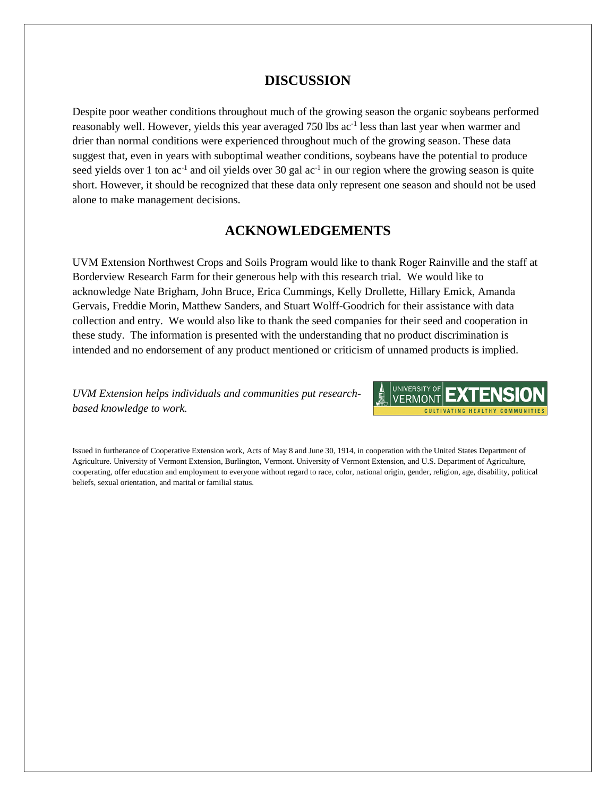## **DISCUSSION**

Despite poor weather conditions throughout much of the growing season the organic soybeans performed reasonably well. However, yields this year averaged 750 lbs ac<sup>-1</sup> less than last year when warmer and drier than normal conditions were experienced throughout much of the growing season. These data suggest that, even in years with suboptimal weather conditions, soybeans have the potential to produce seed yields over 1 ton  $ac^{-1}$  and oil yields over 30 gal  $ac^{-1}$  in our region where the growing season is quite short. However, it should be recognized that these data only represent one season and should not be used alone to make management decisions.

## **ACKNOWLEDGEMENTS**

UVM Extension Northwest Crops and Soils Program would like to thank Roger Rainville and the staff at Borderview Research Farm for their generous help with this research trial. We would like to acknowledge Nate Brigham, John Bruce, Erica Cummings, Kelly Drollette, Hillary Emick, Amanda Gervais, Freddie Morin, Matthew Sanders, and Stuart Wolff-Goodrich for their assistance with data collection and entry. We would also like to thank the seed companies for their seed and cooperation in these study. The information is presented with the understanding that no product discrimination is intended and no endorsement of any product mentioned or criticism of unnamed products is implied.

*UVM Extension helps individuals and communities put researchbased knowledge to work.*



Issued in furtherance of Cooperative Extension work, Acts of May 8 and June 30, 1914, in cooperation with the United States Department of Agriculture. University of Vermont Extension, Burlington, Vermont. University of Vermont Extension, and U.S. Department of Agriculture, cooperating, offer education and employment to everyone without regard to race, color, national origin, gender, religion, age, disability, political beliefs, sexual orientation, and marital or familial status.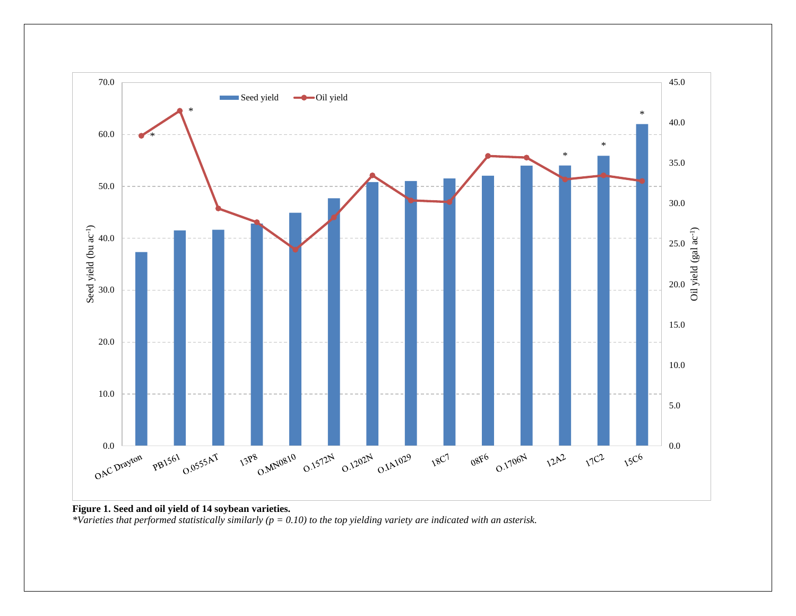

**Figure 1. Seed and oil yield of 14 soybean varieties.**

*\*Varieties that performed statistically similarly (p = 0.10) to the top yielding variety are indicated with an asterisk.*